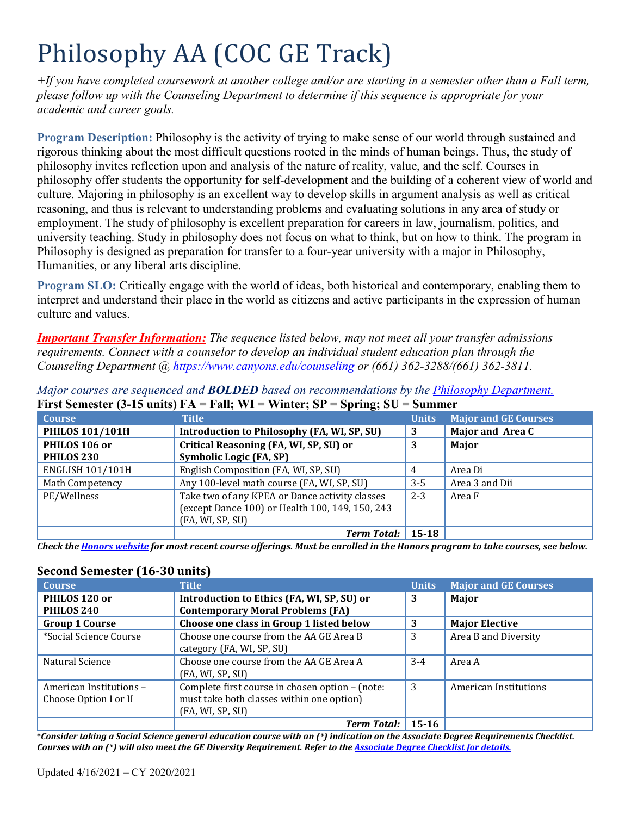# Philosophy AA (COC GE Track)

*+If you have completed coursework at another college and/or are starting in a semester other than a Fall term, please follow up with the Counseling Department to determine if this sequence is appropriate for your academic and career goals.* 

 rigorous thinking about the most difficult questions rooted in the minds of human beings. Thus, the study of philosophy invites reflection upon and analysis of the nature of reality, value, and the self. Courses in **Program Description:** Philosophy is the activity of trying to make sense of our world through sustained and philosophy offer students the opportunity for self-development and the building of a coherent view of world and culture. Majoring in philosophy is an excellent way to develop skills in argument analysis as well as critical reasoning, and thus is relevant to understanding problems and evaluating solutions in any area of study or employment. The study of philosophy is excellent preparation for careers in law, journalism, politics, and university teaching. Study in philosophy does not focus on what to think, but on how to think. The program in Philosophy is designed as preparation for transfer to a four-year university with a major in Philosophy, Humanities, or any liberal arts discipline.

**Program SLO:** Critically engage with the world of ideas, both historical and contemporary, enabling them to interpret and understand their place in the world as citizens and active participants in the expression of human culture and values.

*Important Transfer Information: The sequence listed below, may not meet all your transfer admissions requirements. Connect with a counselor to develop an individual student education plan through the Counseling Department @<https://www.canyons.edu/counseling> or (661) 362-3288/(661) 362-3811.* 

|                         | THE SUBSERVE IS NOT THE THIS TIME.<br>$v_{\rm F}$ and $v_{\rm C}$ |              |                             |
|-------------------------|-------------------------------------------------------------------|--------------|-----------------------------|
| <b>Course</b>           | <b>Title</b>                                                      | <b>Units</b> | <b>Major and GE Courses</b> |
| <b>PHILOS 101/101H</b>  | Introduction to Philosophy (FA, WI, SP, SU)                       | 3            | Major and Area C            |
| PHILOS 106 or           | Critical Reasoning (FA, WI, SP, SU) or                            | 3            | Major                       |
| PHILOS <sub>230</sub>   | Symbolic Logic (FA, SP)                                           |              |                             |
| <b>ENGLISH 101/101H</b> | English Composition (FA, WI, SP, SU)                              |              | Area Di                     |
| <b>Math Competency</b>  | Any 100-level math course (FA, WI, SP, SU)                        | $3 - 5$      | Area 3 and Dii              |
| PE/Wellness             | Take two of any KPEA or Dance activity classes                    | $2 - 3$      | Area F                      |
|                         | (except Dance 100) or Health 100, 149, 150, 243                   |              |                             |
|                         | (FA, WI, SP, SU)                                                  |              |                             |
|                         | <b>Term Total:</b>                                                | 15-18        |                             |

*Major courses are sequenced and BOLDED based on recommendations by the Philosophy Department.*  **First Semester (3-15 units) FA = Fall; WI = Winter; SP = Spring; SU = Summer** 

*Check the Honors website for most recent course offerings. Must be enrolled in the Honors program to take courses, see below.* 

# **Second Semester (16-30 units)**

| <b>Course</b>                                    | <b>Title</b>                                                                                                     | <b>Units</b> | <b>Major and GE Courses</b> |
|--------------------------------------------------|------------------------------------------------------------------------------------------------------------------|--------------|-----------------------------|
| PHILOS 120 or<br>PHILOS 240                      | Introduction to Ethics (FA, WI, SP, SU) or<br><b>Contemporary Moral Problems (FA)</b>                            | 3            | Major                       |
| <b>Group 1 Course</b>                            | Choose one class in Group 1 listed below                                                                         | 3            | <b>Major Elective</b>       |
| *Social Science Course                           | Choose one course from the AA GE Area B<br>category (FA, WI, SP, SU)                                             | 3            | Area B and Diversity        |
| Natural Science                                  | Choose one course from the AA GE Area A<br>(FA, WI, SP, SU)                                                      | $3 - 4$      | Area A                      |
| American Institutions -<br>Choose Option I or II | Complete first course in chosen option - (note:<br>must take both classes within one option)<br>(FA, WI, SP, SU) | 3            | American Institutions       |
|                                                  | <b>Term Total:</b>                                                                                               | 15-16        |                             |

 **\****Consider taking a Social Science general education course with an (\*) indication on the Associate Degree Requirements Checklist. Courses with an (\*) will also meet the GE Diversity Requirement. Refer to the Associate Degree Checklist for details.*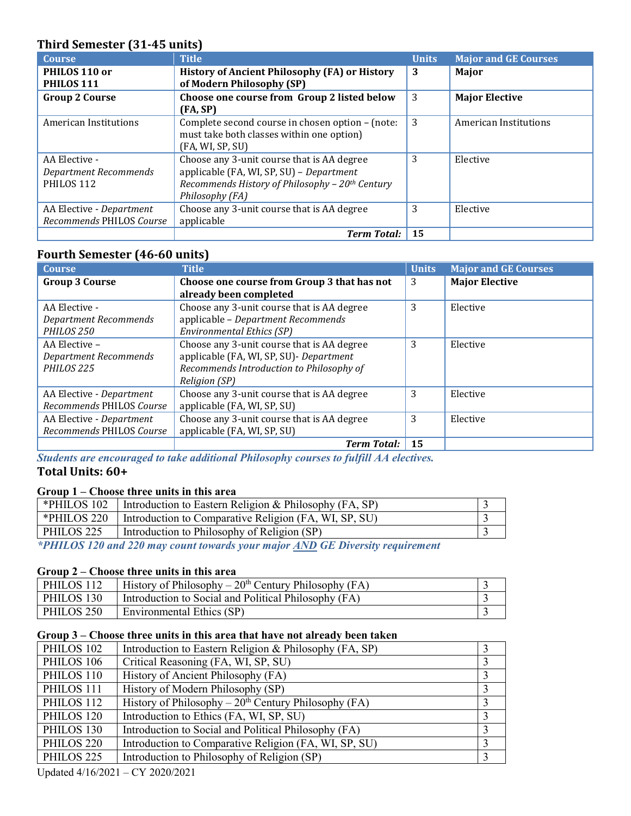# **Third Semester (31-45 units)**

| <b>Course</b>                | <b>Title</b>                                                | <b>Units</b> | <b>Major and GE Courses</b> |
|------------------------------|-------------------------------------------------------------|--------------|-----------------------------|
| PHILOS 110 or                | <b>History of Ancient Philosophy (FA) or History</b>        | 3            | Major                       |
| PHILOS 111                   | of Modern Philosophy (SP)                                   |              |                             |
| <b>Group 2 Course</b>        | Choose one course from Group 2 listed below                 | 3            | <b>Major Elective</b>       |
|                              | (FA, SP)                                                    |              |                             |
| American Institutions        | Complete second course in chosen option – (note:            | 3            | American Institutions       |
|                              | must take both classes within one option)                   |              |                             |
|                              | (FA, WI, SP, SU)                                            |              |                             |
| AA Elective -                | Choose any 3-unit course that is AA degree                  | 3            | Elective                    |
| <b>Department Recommends</b> | applicable (FA, WI, SP, SU) - Department                    |              |                             |
| PHILOS 112                   | Recommends History of Philosophy - 20 <sup>th</sup> Century |              |                             |
|                              | Philosophy (FA)                                             |              |                             |
| AA Elective - Department     | Choose any 3-unit course that is AA degree                  | 3            | Elective                    |
| Recommends PHILOS Course     | applicable                                                  |              |                             |
|                              | <b>Term Total:</b>                                          | 15           |                             |

# **Fourth Semester (46-60 units)**

| <b>Course</b>            | <b>Title</b>                                | <b>Units</b> | <b>Major and GE Courses</b> |
|--------------------------|---------------------------------------------|--------------|-----------------------------|
| <b>Group 3 Course</b>    | Choose one course from Group 3 that has not | 3            | <b>Major Elective</b>       |
|                          | already been completed                      |              |                             |
| AA Elective -            | Choose any 3-unit course that is AA degree  | 3            | Elective                    |
| Department Recommends    | applicable - Department Recommends          |              |                             |
| PHILOS <sub>250</sub>    | <b>Environmental Ethics (SP)</b>            |              |                             |
| AA Elective -            | Choose any 3-unit course that is AA degree  | 3            | Elective                    |
| Department Recommends    | applicable (FA, WI, SP, SU) - Department    |              |                             |
| PHILOS <sub>225</sub>    | Recommends Introduction to Philosophy of    |              |                             |
|                          | Religion (SP)                               |              |                             |
| AA Elective - Department | Choose any 3-unit course that is AA degree  | 3            | Elective                    |
| Recommends PHILOS Course | applicable (FA, WI, SP, SU)                 |              |                             |
| AA Elective - Department | Choose any 3-unit course that is AA degree  | 3            | Elective                    |
| Recommends PHILOS Course | applicable (FA, WI, SP, SU)                 |              |                             |
|                          | <b>Term Total:</b>                          | 15           |                             |

*Students are encouraged to take additional Philosophy courses to fulfill AA electives.*  **Total Units: 60+** 

#### **Group 1 – Choose three units in this area**

| *PHILOS 102 | Introduction to Eastern Religion & Philosophy $(FA, SP)$ |  |
|-------------|----------------------------------------------------------|--|
| *PHILOS 220 | Introduction to Comparative Religion (FA, WI, SP, SU)    |  |
| PHILOS 225  | Introduction to Philosophy of Religion (SP)              |  |
|             |                                                          |  |

 *\*PHILOS 120 and 220 may count towards your major AND GE Diversity requirement* 

### **Group 2 – Choose three units in this area**

| PHILOS 112 | History of Philosophy – $20^{th}$ Century Philosophy (FA) |  |
|------------|-----------------------------------------------------------|--|
| PHILOS 130 | Introduction to Social and Political Philosophy (FA)      |  |
| PHILOS 250 | Environmental Ethics (SP)                                 |  |

#### **Group 3 – Choose three units in this area that have not already been taken**

| PHILOS 102            | Introduction to Eastern Religion & Philosophy (FA, SP) |  |
|-----------------------|--------------------------------------------------------|--|
| PHILOS 106            | Critical Reasoning (FA, WI, SP, SU)                    |  |
| PHILOS 110            | History of Ancient Philosophy (FA)                     |  |
| PHILOS 111            | History of Modern Philosophy (SP)                      |  |
| PHILOS 112            | History of Philosophy – $20th$ Century Philosophy (FA) |  |
| PHILOS 120            | Introduction to Ethics (FA, WI, SP, SU)                |  |
| PHILOS 130            | Introduction to Social and Political Philosophy (FA)   |  |
| PHILOS <sub>220</sub> | Introduction to Comparative Religion (FA, WI, SP, SU)  |  |
| PHILOS <sub>225</sub> | Introduction to Philosophy of Religion (SP)            |  |

Updated 4/16/2021 – CY 2020/2021